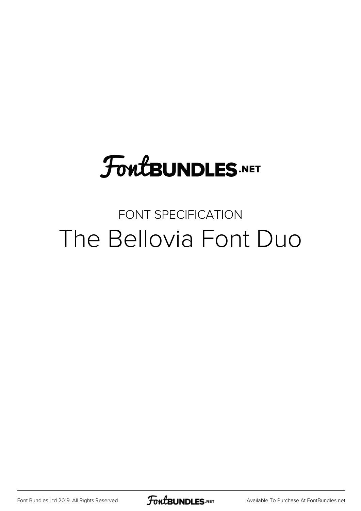# **FoutBUNDLES.NET**

#### FONT SPECIFICATION The Bellovia Font Duo

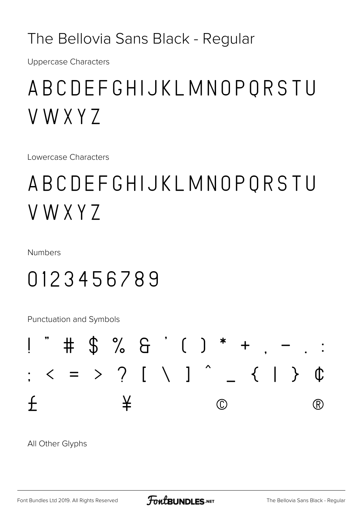#### The Bellovia Sans Black - Regular

**Uppercase Characters** 

### ABCDEFGHIJKLMNOPORSTU VWXY7

Lowercase Characters

## ABCDEFGHIJKLMNOPORSTU VWXYZ

Numbers

### 0123456789

Punctuation and Symbols



All Other Glyphs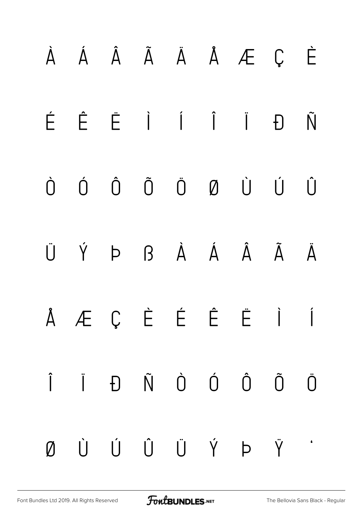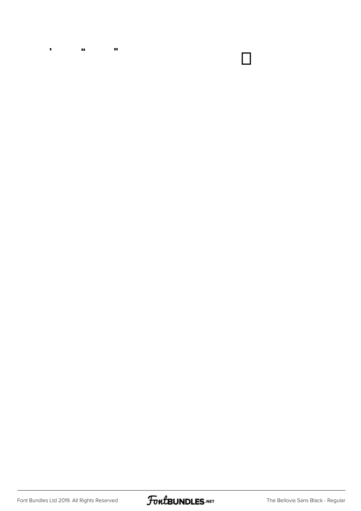$\overline{66}$  $\overline{\phantom{a}}$  $\bullet$ 

٦

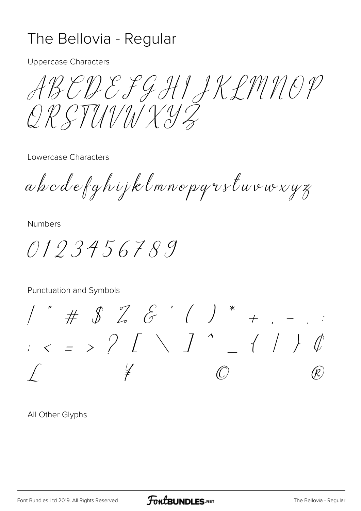#### The Bellovia - Regular

**Uppercase Characters** 

ABEDEFGHI IKLMNOP ORSTUVUXYZ

Lowercase Characters

akcdefghijklmnopqrstuvwxyz

**Numbers** 

0193456789

**Punctuation and Symbols** 

 $1''$  # \$ % & ' ( ) \* + , - $\begin{array}{c} \begin{array}{c} \end{array} & \begin{array}{c} \end{array} & \begin{array}{c} \end{array} & \begin{array}{c} \end{array} & \begin{array}{c} \end{array} & \begin{array}{c} \end{array} & \begin{array}{c} \end{array} & \begin{array}{c} \end{array} & \begin{array}{c} \end{array} & \begin{array}{c} \end{array} & \begin{array}{c} \end{array} & \begin{array}{c} \end{array} & \begin{array}{c} \end{array} & \begin{array}{c} \end{array} & \begin{array}{c} \end{array} & \begin{array}{c} \end{array} & \begin{array}{$  $\left(\!\!\!\begin{array}{c} \widehat{\varkappa} \end{array}\!\!\!\right)$ 

All Other Glyphs

*FOWLBUNDLES.NET*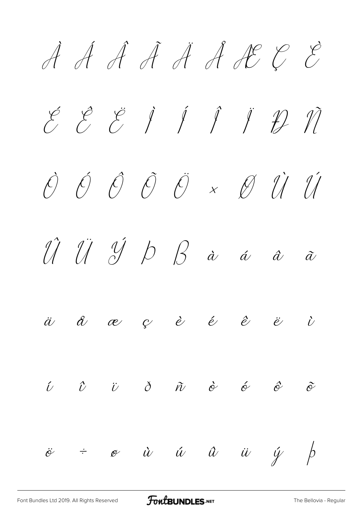À Á Â Ã Ä Å Æ Ç È É Ê Ë J Í J H VI Ò Ó Ô Õ Ö × Ø Ù Ú  $\hat{U}$   $\hat{U}$   $\hat{V}$   $\beta$   $\hat{\alpha}$   $\hat{\alpha}$   $\hat{\alpha}$  $\ddot{a}$   $\ddot{a}$   $\alpha$   $\dot{c}$   $\dot{e}$   $\dot{e}$   $\ddot{e}$   $\ddot{e}$   $\dot{c}$  $\hat{\iota}$   $\hat{\iota}$   $\ddot{\iota}$   $\delta$   $\tilde{\iota}$   $\dot{\tilde{\iota}}$   $\dot{\tilde{\iota}}$   $\delta$   $\tilde{\varrho}$   $\tilde{\varrho}$  $\ddot{\sigma}$   $\div$   $\sigma$   $\dot{u}$   $\acute{u}$   $\ddot{u}$   $\ddot{u}$   $\dot{y}$   $\dot{p}$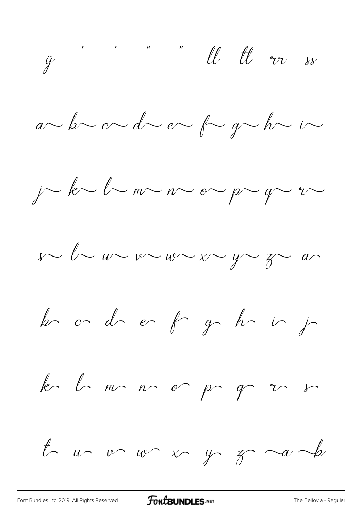ij in de la de la de la de la de la de la de la de la de la de la de la de la de la de la de la de la de la de<br>Jegonda de la de la de la de la de la de la de la de la de la de la de la de la de la de la de la de la de la  $a-b\sim c\sim d\sim e\sim f\sim g\sim h\sim i\sim$  $j$  k b  $k$  m  $n$  $s$  to us verwer  $y$  of a be of de of geheim kah man o pagar t u v v v x p z a b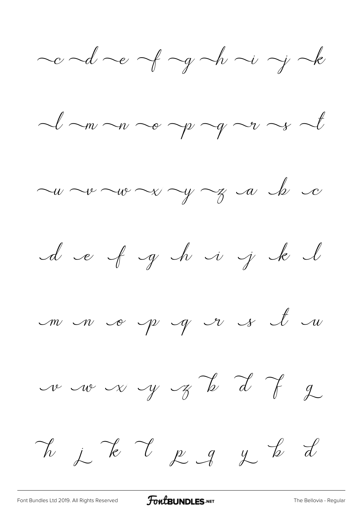$-c-d-e$  of  $\neg g \neg h \neg i \neg j \neg k$ 







 $-m$  or  $-p$  of  $-v$  is it in

ve ve ve y y to d J g

Lik Lugg Lud

[Font Bundles Ltd 2019. All Rights Reserved](https://fontbundles.net/) **FoutBUNDLES.NET** [The Bellovia - Regular](https://fontbundles.net/)